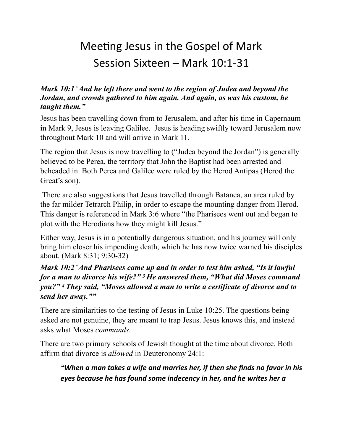# Meeting Jesus in the Gospel of Mark Session Sixteen – Mark 10:1-31

#### *Mark 10:1 "And he left there and went to the region of Judea and beyond the Jordan, and crowds gathered to him again. And again, as was his custom, he taught them."*

Jesus has been travelling down from to Jerusalem, and after his time in Capernaum in Mark 9, Jesus is leaving Galilee. Jesus is heading swiftly toward Jerusalem now throughout Mark 10 and will arrive in Mark 11.

The region that Jesus is now travelling to ("Judea beyond the Jordan") is generally believed to be Perea, the territory that John the Baptist had been arrested and beheaded in. Both Perea and Galilee were ruled by the Herod Antipas (Herod the Great's son).

 There are also suggestions that Jesus travelled through Batanea, an area ruled by the far milder Tetrarch Philip, in order to escape the mounting danger from Herod. This danger is referenced in Mark 3:6 where "the Pharisees went out and began to plot with the Herodians how they might kill Jesus."

Either way, Jesus is in a potentially dangerous situation, and his journey will only bring him closer his impending death, which he has now twice warned his disciples about. (Mark 8:31; 9:30-32)

## *Mark 10:2 "And Pharisees came up and in order to test him asked, "Is it lawful for a man to divorce his wife?" 3 He answered them, "What did Moses command you?" 4 They said, "Moses allowed a man to write a certificate of divorce and to send her away.""*

There are similarities to the testing of Jesus in Luke 10:25. The questions being asked are not genuine, they are meant to trap Jesus. Jesus knows this, and instead asks what Moses *commands*.

There are two primary schools of Jewish thought at the time about divorce. Both affirm that divorce is *allowed* in Deuteronomy 24:1:

*"When a man takes a wife and marries her, if then she finds no favor in his eyes because he has found some indecency in her, and he writes her a*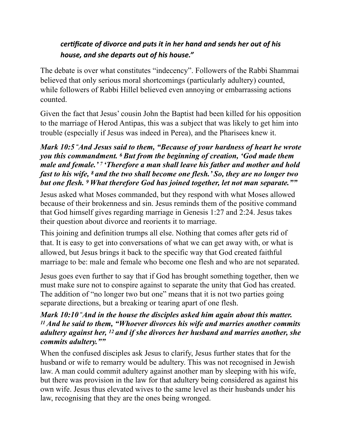# certificate of divorce and puts it in her hand and sends her out of his *house, and she departs out of his house."*

The debate is over what constitutes "indecency". Followers of the Rabbi Shammai believed that only serious moral shortcomings (particularly adultery) counted, while followers of Rabbi Hillel believed even annoying or embarrassing actions counted.

Given the fact that Jesus' cousin John the Baptist had been killed for his opposition to the marriage of Herod Antipas, this was a subject that was likely to get him into trouble (especially if Jesus was indeed in Perea), and the Pharisees knew it.

## *Mark 10:5 "And Jesus said to them, "Because of your hardness of heart he wrote you this commandment. 6 But from the beginning of creation, 'God made them male and female.' 7 'Therefore a man shall leave his father and mother and hold fast to his wife, 8 and the two shall become one flesh.' So, they are no longer two but one flesh. 9 What therefore God has joined together, let not man separate.""*

Jesus asked what Moses commanded, but they respond with what Moses allowed because of their brokenness and sin. Jesus reminds them of the positive command that God himself gives regarding marriage in Genesis 1:27 and 2:24. Jesus takes their question about divorce and reorients it to marriage.

This joining and definition trumps all else. Nothing that comes after gets rid of that. It is easy to get into conversations of what we can get away with, or what is allowed, but Jesus brings it back to the specific way that God created faithful marriage to be: male and female who become one flesh and who are not separated.

Jesus goes even further to say that if God has brought something together, then we must make sure not to conspire against to separate the unity that God has created. The addition of "no longer two but one" means that it is not two parties going separate directions, but a breaking or tearing apart of one flesh.

### *Mark 10:10 "And in the house the disciples asked him again about this matter. 11 And he said to them, "Whoever divorces his wife and marries another commits adultery against her, 12 and if she divorces her husband and marries another, she commits adultery.""*

When the confused disciples ask Jesus to clarify, Jesus further states that for the husband or wife to remarry would be adultery. This was not recognised in Jewish law. A man could commit adultery against another man by sleeping with his wife, but there was provision in the law for that adultery being considered as against his own wife. Jesus thus elevated wives to the same level as their husbands under his law, recognising that they are the ones being wronged.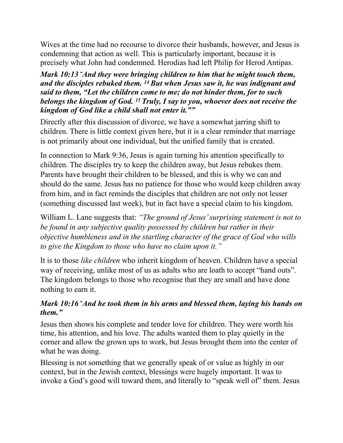Wives at the time had no recourse to divorce their husbands, however, and Jesus is condemning that action as well. This is particularly important, because it is precisely what John had condemned. Herodias had left Philip for Herod Antipas.

*Mark 10:13 "And they were bringing children to him that he might touch them, and the disciples rebuked them. 14 But when Jesus saw it, he was indignant and said to them, "Let the children come to me; do not hinder them, for to such belongs the kingdom of God. 15 Truly, I say to you, whoever does not receive the kingdom of God like a child shall not enter it.""* 

Directly after this discussion of divorce, we have a somewhat jarring shift to children. There is little context given here, but it is a clear reminder that marriage is not primarily about one individual, but the unified family that is created.

In connection to Mark 9:36, Jesus is again turning his attention specifically to children. The disciples try to keep the children away, but Jesus rebukes them. Parents have brought their children to be blessed, and this is why we can and should do the same. Jesus has no patience for those who would keep children away from him, and in fact reminds the disciples that children are not only not lesser (something discussed last week), but in fact have a special claim to his kingdom.

William L. Lane suggests that: *"The ground of Jesus' surprising statement is not to be found in any subjective quality possessed by children but rather in their objective humbleness and in the startling character of the grace of God who wills to give the Kingdom to those who have no claim upon it."*

It is to those *like children* who inherit kingdom of heaven. Children have a special way of receiving, unlike most of us as adults who are loath to accept "hand outs". The kingdom belongs to those who recognise that they are small and have done nothing to earn it.

## *Mark 10:16 "And he took them in his arms and blessed them, laying his hands on them."*

Jesus then shows his complete and tender love for children. They were worth his time, his attention, and his love. The adults wanted them to play quietly in the corner and allow the grown ups to work, but Jesus brought them into the center of what he was doing.

Blessing is not something that we generally speak of or value as highly in our context, but in the Jewish context, blessings were hugely important. It was to invoke a God's good will toward them, and literally to "speak well of" them. Jesus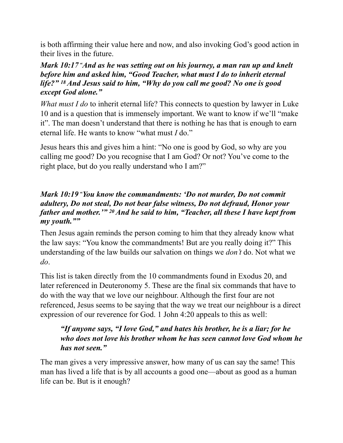is both affirming their value here and now, and also invoking God's good action in their lives in the future.

#### *Mark 10:17 "And as he was setting out on his journey, a man ran up and knelt before him and asked him, "Good Teacher, what must I do to inherit eternal life?" 18 And Jesus said to him, "Why do you call me good? No one is good except God alone."*

*What must I do* to inherit eternal life? This connects to question by lawyer in Luke 10 and is a question that is immensely important. We want to know if we'll "make it". The man doesn't understand that there is nothing he has that is enough to earn eternal life. He wants to know "what must *I* do."

Jesus hears this and gives him a hint: "No one is good by God, so why are you calling me good? Do you recognise that I am God? Or not? You've come to the right place, but do you really understand who I am?"

## *Mark 10:19 "You know the commandments: 'Do not murder, Do not commit adultery, Do not steal, Do not bear false witness, Do not defraud, Honor your father and mother.'" 20 And he said to him, "Teacher, all these I have kept from my youth.""*

Then Jesus again reminds the person coming to him that they already know what the law says: "You know the commandments! But are you really doing it?" This understanding of the law builds our salvation on things we *don't* do. Not what we *do*.

This list is taken directly from the 10 commandments found in Exodus 20, and later referenced in Deuteronomy 5. These are the final six commands that have to do with the way that we love our neighbour. Although the first four are not referenced, Jesus seems to be saying that the way we treat our neighbour is a direct expression of our reverence for God. 1 John 4:20 appeals to this as well:

## *"If anyone says, "I love God," and hates his brother, he is a liar; for he who does not love his brother whom he has seen cannot love God whom he has not seen."*

The man gives a very impressive answer, how many of us can say the same! This man has lived a life that is by all accounts a good one—about as good as a human life can be. But is it enough?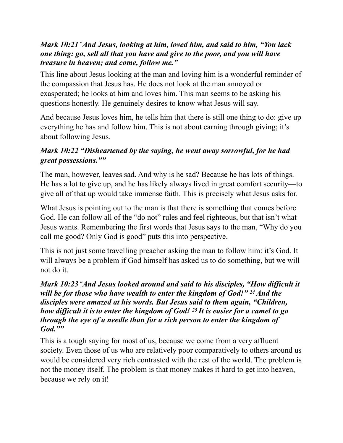#### *Mark 10:21 "And Jesus, looking at him, loved him, and said to him, "You lack one thing: go, sell all that you have and give to the poor, and you will have treasure in heaven; and come, follow me."*

This line about Jesus looking at the man and loving him is a wonderful reminder of the compassion that Jesus has. He does not look at the man annoyed or exasperated; he looks at him and loves him. This man seems to be asking his questions honestly. He genuinely desires to know what Jesus will say.

And because Jesus loves him, he tells him that there is still one thing to do: give up everything he has and follow him. This is not about earning through giving; it's about following Jesus.

# *Mark 10:22 "Disheartened by the saying, he went away sorrowful, for he had great possessions.""*

The man, however, leaves sad. And why is he sad? Because he has lots of things. He has a lot to give up, and he has likely always lived in great comfort security—to give all of that up would take immense faith. This is precisely what Jesus asks for.

What Jesus is pointing out to the man is that there is something that comes before God. He can follow all of the "do not" rules and feel righteous, but that isn't what Jesus wants. Remembering the first words that Jesus says to the man, "Why do you call me good? Only God is good" puts this into perspective.

This is not just some travelling preacher asking the man to follow him: it's God. It will always be a problem if God himself has asked us to do something, but we will not do it.

*Mark 10:23 "And Jesus looked around and said to his disciples, "How difficult it will be for those who have wealth to enter the kingdom of God!" 24 And the disciples were amazed at his words. But Jesus said to them again, "Children, how difficult it isto enter the kingdom of God! 25 It is easier for a camel to go through the eye of a needle than for a rich person to enter the kingdom of God.""* 

This is a tough saying for most of us, because we come from a very affluent society. Even those of us who are relatively poor comparatively to others around us would be considered very rich contrasted with the rest of the world. The problem is not the money itself. The problem is that money makes it hard to get into heaven, because we rely on it!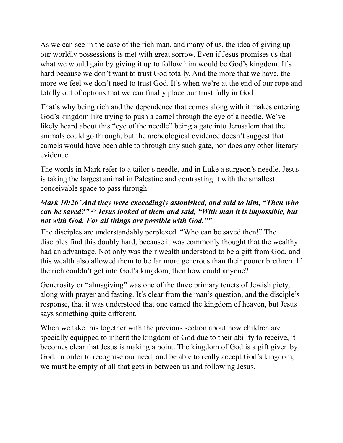As we can see in the case of the rich man, and many of us, the idea of giving up our worldly possessions is met with great sorrow. Even if Jesus promises us that what we would gain by giving it up to follow him would be God's kingdom. It's hard because we don't want to trust God totally. And the more that we have, the more we feel we don't need to trust God. It's when we're at the end of our rope and totally out of options that we can finally place our trust fully in God.

That's why being rich and the dependence that comes along with it makes entering God's kingdom like trying to push a camel through the eye of a needle. We've likely heard about this "eye of the needle" being a gate into Jerusalem that the animals could go through, but the archeological evidence doesn't suggest that camels would have been able to through any such gate, nor does any other literary evidence.

The words in Mark refer to a tailor's needle, and in Luke a surgeon's needle. Jesus is taking the largest animal in Palestine and contrasting it with the smallest conceivable space to pass through.

## *Mark 10:26 "And they were exceedingly astonished, and said to him, "Then who can be saved?" 27 Jesus looked at them and said, "With man it is impossible, but not with God. For all things are possible with God.""*

The disciples are understandably perplexed. "Who can be saved then!" The disciples find this doubly hard, because it was commonly thought that the wealthy had an advantage. Not only was their wealth understood to be a gift from God, and this wealth also allowed them to be far more generous than their poorer brethren. If the rich couldn't get into God's kingdom, then how could anyone?

Generosity or "almsgiving" was one of the three primary tenets of Jewish piety, along with prayer and fasting. It's clear from the man's question, and the disciple's response, that it was understood that one earned the kingdom of heaven, but Jesus says something quite different.

When we take this together with the previous section about how children are specially equipped to inherit the kingdom of God due to their ability to receive, it becomes clear that Jesus is making a point. The kingdom of God is a gift given by God. In order to recognise our need, and be able to really accept God's kingdom, we must be empty of all that gets in between us and following Jesus.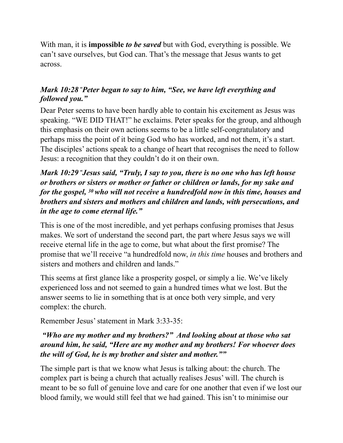With man, it is **impossible** *to be saved* but with God, everything is possible. We can't save ourselves, but God can. That's the message that Jesus wants to get across.

## *Mark 10:28 "Peter began to say to him, "See, we have left everything and followed you."*

Dear Peter seems to have been hardly able to contain his excitement as Jesus was speaking. "WE DID THAT!" he exclaims. Peter speaks for the group, and although this emphasis on their own actions seems to be a little self-congratulatory and perhaps miss the point of it being God who has worked, and not them, it's a start. The disciples' actions speak to a change of heart that recognises the need to follow Jesus: a recognition that they couldn't do it on their own.

## *Mark 10:29 "Jesus said, "Truly, I say to you, there is no one who has left house or brothers or sisters or mother or father or children or lands, for my sake and for the gospel, 30 who will not receive a hundredfold now in this time, houses and brothers and sisters and mothers and children and lands, with persecutions, and in the age to come eternal life."*

This is one of the most incredible, and yet perhaps confusing promises that Jesus makes. We sort of understand the second part, the part where Jesus says we will receive eternal life in the age to come, but what about the first promise? The promise that we'll receive "a hundredfold now, *in this time* houses and brothers and sisters and mothers and children and lands."

This seems at first glance like a prosperity gospel, or simply a lie. We've likely experienced loss and not seemed to gain a hundred times what we lost. But the answer seems to lie in something that is at once both very simple, and very complex: the church.

Remember Jesus' statement in Mark 3:33-35:

## *"Who are my mother and my brothers?" And looking about at those who sat around him, he said, "Here are my mother and my brothers! For whoever does the will of God, he is my brother and sister and mother.""*

The simple part is that we know what Jesus is talking about: the church. The complex part is being a church that actually realises Jesus' will. The church is meant to be so full of genuine love and care for one another that even if we lost our blood family, we would still feel that we had gained. This isn't to minimise our